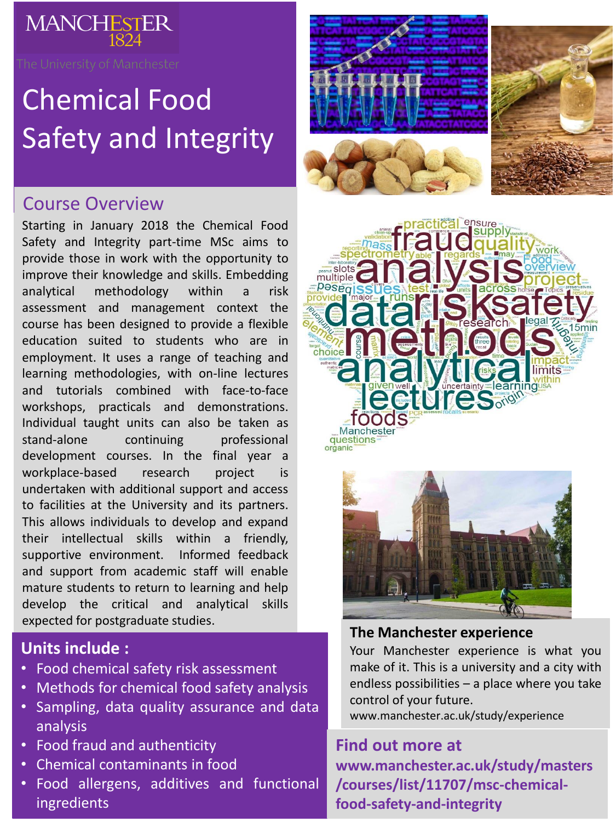

# Chemical Food Safety and Integrity

# Course Overview

Starting in January 2018 the Chemical Food Safety and Integrity part-time MSc aims to provide those in work with the opportunity to improve their knowledge and skills. Embedding analytical methodology within a risk assessment and management context the course has been designed to provide a flexible education suited to students who are in employment. It uses a range of teaching and learning methodologies, with on-line lectures and tutorials combined with face-to-face workshops, practicals and demonstrations. Individual taught units can also be taken as stand-alone continuing professional development courses. In the final year a workplace-based research project is undertaken with additional support and access to facilities at the University and its partners. This allows individuals to develop and expand their intellectual skills within a friendly, supportive environment. Informed feedback and support from academic staff will enable mature students to return to learning and help develop the critical and analytical skills expected for postgraduate studies.

## **Units include :**

- Food chemical safety risk assessment
- Methods for chemical food safety analysis
- Sampling, data quality assurance and data analysis
- Food fraud and authenticity
- Chemical contaminants in food
- Food allergens, additives and functional ingredients







#### **The Manchester experience**

Your Manchester experience is what you make of it. This is a university and a city with endless possibilities – a place where you take control of your future.

www.manchester.ac.uk/study/experience

### **Find out more at**

**www.manchester.ac.uk/study/masters /courses/list/11707/msc-chemicalfood-safety-and-integrity**